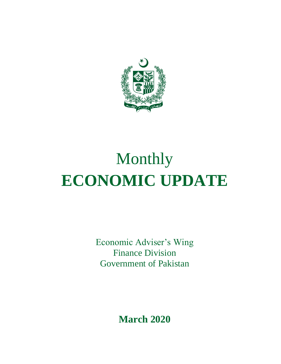

# Monthly **ECONOMIC UPDATE**

Economic Adviser's Wing Finance Division Government of Pakistan

**March 2020**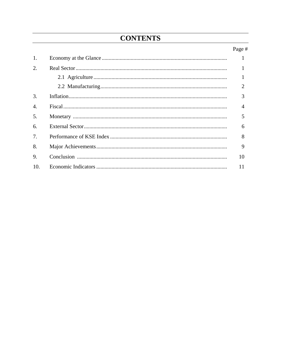# **CONTENTS**

# Page #

| 1.           |                |
|--------------|----------------|
| 2.           |                |
|              |                |
|              | 2              |
| 3.           | 3              |
| $\mathbf{4}$ | $\overline{4}$ |
| 5.           | 5              |
| 6.           | 6              |
| 7.           | 8              |
| 8.           | 9              |
| 9.           | 10             |
| 10.          | 11             |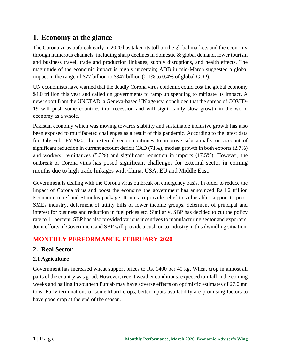# **1. Economy at the glance**

The Corona virus outbreak early in 2020 has taken its toll on the global markets and the economy through numerous channels, including sharp declines in domestic & global demand, lower tourism and business travel, trade and production linkages, supply disruptions, and health effects. The magnitude of the economic impact is highly uncertain; ADB in mid-March suggested a global impact in the range of \$77 billion to \$347 billion (0.1% to 0.4% of global GDP).

UN economists have warned that the deadly Corona virus epidemic could cost the global economy \$4.0 trillion this year and called on governments to ramp up spending to mitigate its impact. A new report from the UNCTAD, a Geneva-based UN agency, concluded that the spread of COVID-19 will push some countries into recession and will significantly slow growth in the world economy as a whole.

Pakistan economy which was moving towards stability and sustainable inclusive growth has also been exposed to multifaceted challenges as a result of this pandemic. According to the latest data for July-Feb, FY2020, the external sector continues to improve substantially on account of significant reduction in current account deficit CAD (71%), modest growth in both exports (2.7%) and workers' remittances (5.3%) and significant reduction in imports (17.5%). However, the outbreak of Corona virus has posed significant challenges for external sector in coming months due to high trade linkages with China, USA, EU and Middle East.

Government is dealing with the Corona virus outbreak on emergency basis. In order to reduce the impact of Corona virus and boost the economy the government has announced Rs.1.2 trillion Economic relief and Stimulus package. It aims to provide relief to vulnerable, support to poor, SMEs industry, deferment of utility bills of lower income groups, deferment of principal and interest for business and reduction in fuel prices etc. Similarly, SBP has decided to cut the policy rate to 11 percent. SBP has also provided various incentives to manufacturing sector and exporters. Joint efforts of Government and SBP will provide a cushion to industry in this dwindling situation.

# **MONTHLY PERFORMANCE, FEBRUARY 2020**

# **2. Real Sector**

### **2.1 Agriculture**

Government has increased wheat support prices to Rs. 1400 per 40 kg. Wheat crop in almost all parts of the country was good. However, recent weather conditions, expected rainfall in the coming weeks and hailing in southern Punjab may have adverse effects on optimistic estimates of 27.0 mn tons. Early terminations of some kharif crops, better inputs availability are promising factors to have good crop at the end of the season.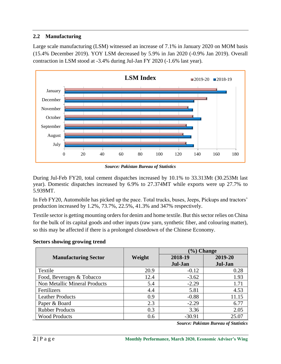#### **2.2 Manufacturing**

Large scale manufacturing (LSM) witnessed an increase of 7.1% in January 2020 on MOM basis (15.4% December 2019). YOY LSM decreased by 5.9% in Jan 2020 (-0.9% Jan 2019). Overall contraction in LSM stood at -3.4% during Jul-Jan FY 2020 (-1.6% last year).



*Source: Pakistan Bureau of Statistics*

During Jul-Feb FY20, total cement dispatches increased by 10.1% to 33.313Mt (30.253Mt last year). Domestic dispatches increased by 6.9% to 27.374MT while exports were up 27.7% to 5.939MT.

In Feb FY20, Automobile has picked up the pace. Total trucks, buses, Jeeps, Pickups and tractors' production increased by 1.2%, 73.7%, 22.5%, 41.3% and 347% respectively.

Textile sector is getting mounting orders for denim and home textile. But this sector relies on China for the bulk of its capital goods and other inputs (raw yarn, synthetic fiber, and colouring matter), so this may be affected if there is a prolonged closedown of the Chinese Economy.

#### **Sectors showing growing trend**

|                                      |        | $\mathcal{P}_0$ Change |         |  |
|--------------------------------------|--------|------------------------|---------|--|
| <b>Manufacturing Sector</b>          | Weight | 2018-19                | 2019-20 |  |
|                                      |        | Jul-Jan                | Jul-Jan |  |
| Textile                              | 20.9   | $-0.12$                | 0.28    |  |
| Food, Beverages & Tobacco            | 12.4   | $-3.62$                | 1.93    |  |
| <b>Non Metallic Mineral Products</b> | 5.4    | $-2.29$                | 1.71    |  |
| Fertilizers                          | 4.4    | 5.81                   | 4.53    |  |
| <b>Leather Products</b>              | 0.9    | $-0.88$                | 11.15   |  |
| Paper & Board                        | 2.3    | $-2.29$                | 6.77    |  |
| <b>Rubber Products</b>               | 0.3    | 3.36                   | 2.05    |  |
| <b>Wood Products</b>                 | 0.6    | $-30.91$               | 25.07   |  |

*Source: Pakistan Bureau of Statistics*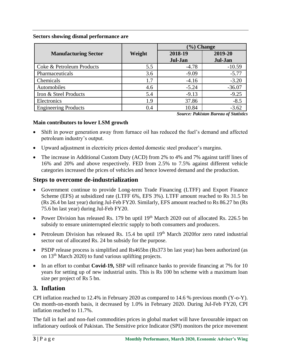#### **Sectors showing dismal performance are**

|                             |        | $\left(\frac{9}{6}\right)$ Change |          |  |
|-----------------------------|--------|-----------------------------------|----------|--|
| <b>Manufacturing Sector</b> | Weight | 2018-19                           | 2019-20  |  |
|                             |        | Jul-Jan                           | Jul-Jan  |  |
| Coke & Petroleum Products   | 5.5    | $-4.78$                           | $-10.59$ |  |
| Pharmaceuticals             | 3.6    | $-9.09$                           | $-5.77$  |  |
| Chemicals                   | 1.7    | $-4.16$                           | $-3.20$  |  |
| Automobiles                 | 4.6    | $-5.24$                           | $-36.07$ |  |
| Iron & Steel Products       | 5.4    | $-9.13$                           | $-9.25$  |  |
| Electronics                 | 1.9    | 37.86                             | $-8.5$   |  |
| <b>Engineering Products</b> | 0.4    | 10.84                             | $-3.62$  |  |

*Source: Pakistan Bureau of Statistics*

#### **Main contributors to lower LSM growth**

- Shift in power generation away from furnace oil has reduced the fuel's demand and affected petroleum industry's output.
- Upward adjustment in electricity prices dented domestic steel producer's margins.
- The increase in Additional Custom Duty (ACD) from 2% to 4% and 7% against tariff lines of 16% and 20% and above respectively. FED from 2.5% to 7.5% against different vehicle categories increased the prices of vehicles and hence lowered demand and the production.

#### **Steps to overcome de-industrialization**

- Government continue to provide Long-term Trade Financing (LTFF) and Export Finance Scheme (EFS) at subsidized rate (LTFF 6%, EFS 3%). LTFF amount reached to Rs 31.5 bn (Rs 26.4 bn last year) during Jul-Feb FY20. Similarly, EFS amount reached to Rs 86.27 bn (Rs 75.6 bn last year) during Jul-Feb FY20.
- Power Division has released Rs. 179 bn uptil  $19<sup>th</sup>$  March 2020 out of allocated Rs. 226.5 bn subsidy to ensure uninterrupted electric supply to both consumers and producers.
- Petroleum Division has released Rs. 15.4 bn uptil 19<sup>th</sup> March 2020for zero rated industrial sector out of allocated Rs. 24 bn subsidy for the purpose.
- PSDP release process is simplified and Rs465bn (Rs373 bn last year) has been authorized (as on 13<sup>th</sup> March 2020) to fund various uplifting projects.
- In an effort to combat **Covid-19,** SBP will refinance banks to provide financing at 7% for 10 years for setting up of new industrial units. This is Rs 100 bn scheme with a maximum loan size per project of Rs 5 bn.

### **3. Inflation**

CPI inflation reached to 12.4% in February 2020 as compared to 14.6 % previous month (Y-o-Y). On month-on-month basis, it decreased by 1.0% in February 2020. During Jul-Feb FY20, CPI inflation reached to 11.7%.

The fall in fuel and non-fuel commodities prices in global market will have favourable impact on inflationary outlook of Pakistan. The Sensitive price Indicator (SPI) monitors the price movement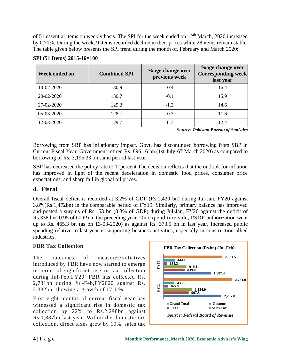of 51 essential items on weekly basis. The SPI for the week ended on 12<sup>th</sup> March, 2020 increased by 0.71%. During the week, 9 items recorded decline in their prices while 28 items remain stable. The table given below presents the SPI trend during the month of, February and March 2020:

| Week ended on | <b>Combined SPI</b> | <b>%age change over</b><br>previous week | <b>%age change over</b><br><b>Corresponding week</b><br>last year |
|---------------|---------------------|------------------------------------------|-------------------------------------------------------------------|
| 13-02-2020    | 130.9               | $-0.4$                                   | 16.4                                                              |
| 20-02-2020    | 130.7               | $-0.1$                                   | 15.9                                                              |
| 27-02-2020    | 129.2               | $-1.2$                                   | 14.6                                                              |
| 05-03-2020    | 128.7               | $-0.3$                                   | 11.6                                                              |
| 12-03-2020    | 129.7               | 0.7                                      | 12.4                                                              |

#### **SPI (51 Items) 2015-16=100**

*Source: Pakistan Bureau of Statistics*

Borrowing from SBP has inflationary impact. Govt. has discontinued borrowing from SBP in Current Fiscal Year. Government retired Rs. 896.16 bn (1st July-6<sup>th</sup> March 2020) as compared to borrowing of Rs. 3,195.33 bn same period last year.

SBP has decreased the policy rate to 11percent.The decision reflects that the outlook for inflation has improved in light of the recent deceleration in domestic food prices, consumer price expectations, and sharp fall in global oil prices.

# **4. Fiscal**

Overall fiscal deficit is recorded at 3.2% of GDP (Rs.1,430 bn) during Jul-Jan, FY20 against 3.8%(Rs.1,472bn) in the comparable period of FY19. Similarly, primary balance has improved and posted a surplus of Rs.153 bn (0.3% of GDP) during Jul-Jan, FY20 against the deficit of Rs.338 bn(-0.95 of GDP) in the preceding year. On expenditure side, PSDP authorization went up to Rs. 465.3 bn (as on 13-03-2020) as against Rs. 373.5 bn in last year. Increased public spending relative to last year is supporting business activities, especially in construction-allied industries.

### **FBR Tax Collection**

The outcomes of measures/initiatives introduced by FBR have now started to emerge in terms of significant rise in tax collection during Jul-Feb,FY20. FBR has collected Rs. 2,731bn during Jul-Feb,FY2020 against Rs. 2,332bn, showing a growth of 17.1 %.

First eight months of current fiscal year has witnessed a significant rise in domestic tax collection by 22% to Rs.2,298bn against Rs.1,887bn last year. Within the domestic tax collection, direct taxes grew by 19%, sales tax

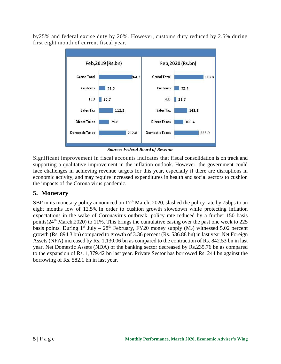by25% and federal excise duty by 20%. However, customs duty reduced by 2.5% during first eight month of current fiscal year.



*Source: Federal Board of Revenue*

Significant improvement in fiscal accounts indicates that fiscal consolidation is on track and supporting a qualitative improvement in the inflation outlook. However, the government could face challenges in achieving revenue targets for this year, especially if there are disruptions in economic activity, and may require increased expenditures in health and social sectors to cushion the impacts of the Corona virus pandemic.

# **5. Monetary**

SBP in its monetary policy announced on  $17<sup>th</sup>$  March, 2020, slashed the policy rate by 75bps to an eight months low of 12.5%.In order to cushion growth slowdown while protecting inflation expectations in the wake of Coronavirus outbreak, policy rate reduced by a further 150 basis points( $24<sup>th</sup> March, 2020$ ) to 11%. This brings the cumulative easing over the past one week to 225 basis points. During  $1^{st}$  July –  $28^{th}$  February, FY20 money supply (M<sub>2</sub>) witnessed 5.02 percent growth (Rs. 894.3 bn) compared to growth of 3.36 percent (Rs. 536.88 bn) in last year.Net Foreign Assets (NFA) increased by Rs. 1,130.06 bn as compared to the contraction of Rs. 842.53 bn in last year. Net Domestic Assets (NDA) of the banking sector decreased by Rs.235.76 bn as compared to the expansion of Rs. 1,379.42 bn last year. Private Sector has borrowed Rs. 244 bn against the borrowing of Rs. 582.1 bn in last year.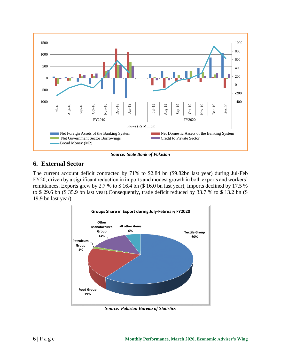

*Source: State Bank of Pakistan*

# **6. External Sector**

The current account deficit contracted by 71% to \$2.84 bn (\$9.82bn last year) during Jul-Feb FY20, driven by a significant reduction in imports and modest growth in both exports and workers' remittances. Exports grew by 2.7 % to \$ 16.4 bn (\$ 16.0 bn last year), Imports declined by 17.5 % to \$ 29.6 bn (\$ 35.9 bn last year).Consequently, trade deficit reduced by 33.7 % to \$ 13.2 bn (\$ 19.9 bn last year).



*Source: Pakistan Bureau of Statistics*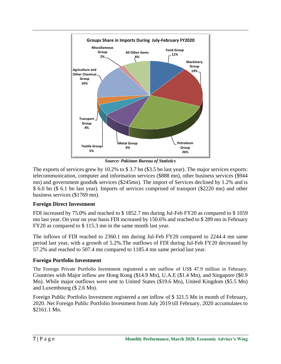

*Source: Pakistan Bureau of Statistics*

The exports of services grew by 10.2% to \$ 3.7 bn (\$3.5 bn last year). The major services exports: telecommunication, computer and information services (\$888 mn), other business services (\$944 mn) and government goods& services (\$245mn). The import of Services declined by 1.2% and is \$ 6.0 bn (\$ 6.1 bn last year). Imports of services comprised of transport (\$2220 mn) and other business services (\$1769 mn).

#### **Foreign Direct Investment**

FDI increased by 75.0% and reached to \$ 1852.7 mn during Jul-Feb FY20 as compared to \$ 1059 mn last year. On year on year basis FDI increased by 150.6% and reached to \$ 289 mn in February FY20 as compared to \$ 115.3 mn in the same month last year.

The inflows of FDI reached to 2360.1 mn during Jul-Feb FY20 compared to 2244.4 mn same period last year, with a growth of 5.2%.The outflows of FDI during Jul-Feb FY20 decreased by 57.2% and reached to 507.4 mn compared to 1185.4 mn same period last year.

### **Foreign Portfolio Investment**

The Foreign Private Portfolio Investment registered a net outflow of US\$ 47.9 million in February. Countries with Major inflow are Hong Kong (\$14.9 Mn), U.A.E (\$1.4 Mn), and Singapore (\$0.9 Mn). While major outflows were sent to United States (\$19.6 Mn), United Kingdom (\$5.5 Mn) and Luxembourg (\$ 2.6 Mn).

Foreign Public Portfolio Investment registered a net inflow of \$ 321.5 Mn in month of February, 2020. Net Foreign Public Portfolio Investment from July 2019 till February, 2020 accumulates to \$2161.1 Mn.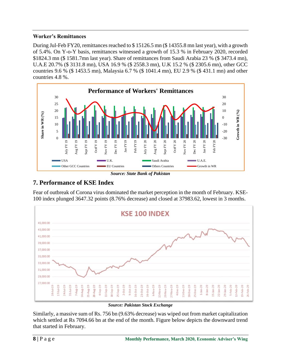#### **Worker's Remittances**

During Jul-Feb FY20, remittances reached to \$ 15126.5 mn (\$ 14355.8 mn last year), with a growth of 5.4%. On Y-o-Y basis, remittances witnessed a growth of 15.3 % in February 2020, recorded \$1824.3 mn (\$ 1581.7mn last year). Share of remittances from Saudi Arabia 23 % (\$ 3473.4 mn), U.A.E 20.7% (\$ 3131.8 mn), USA 16.9 % (\$ 2558.3 mn), U.K 15.2 % (\$ 2305.6 mn), other GCC countries 9.6 % (\$ 1453.5 mn), Malaysia 6.7 % (\$ 1041.4 mn), EU 2.9 % (\$ 431.1 mn) and other countries 4.8 %.



*Source: State Bank of Pakistan*

# **7. Performance of KSE Index**

Fear of outbreak of Corona virus dominated the market perception in the month of February. KSE-100 index plunged 3647.32 points (8.76% decrease) and closed at 37983.62, lowest in 3 months.



#### *Source: Pakistan Stock Exchange*

Similarly, a massive sum of Rs. 756 bn (9.63% decrease) was wiped out from market capitalization which settled at Rs 7094.66 bn at the end of the month. Figure below depicts the downward trend that started in February.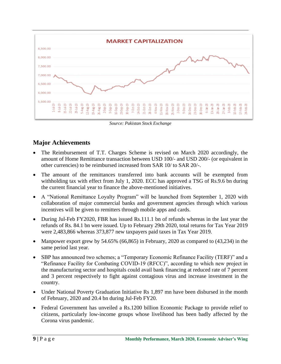

*Source: Pakistan Stock Exchange*

# **Major Achievements**

- The Reimbursement of T.T. Charges Scheme is revised on March 2020 accordingly, the amount of Home Remittance transaction between USD 100/- and USD 200/- (or equivalent in other currencies) to be reimbursed increased from SAR 10/ to SAR 20/-.
- The amount of the remittances transferred into bank accounts will be exempted from withholding tax with effect from July 1, 2020. ECC has approved a TSG of Rs.9.6 bn during the current financial year to finance the above-mentioned initiatives.
- A "National Remittance Loyalty Program" will be launched from September 1, 2020 with collaboration of major commercial banks and government agencies through which various incentives will be given to remitters through mobile apps and cards.
- During Jul-Feb FY2020, FBR has issued Rs.111.1 bn of refunds whereas in the last year the refunds of Rs. 84.1 bn were issued. Up to February 29th 2020, total returns for Tax Year 2019 were 2,483,866 whereas 373,877 new taxpayers paid taxes in Tax Year 2019.
- Manpower export grew by  $54.65\%$  (66,865) in February, 2020 as compared to (43,234) in the same period last year.
- SBP has announced two schemes; a "Temporary Economic Refinance Facility (TERF)" and a "Refinance Facility for Combating COVID-19 (RFCC)", according to which new project in the manufacturing sector and hospitals could avail bank financing at reduced rate of 7 percent and 3 percent respectively to fight against contagious virus and increase investment in the country.
- Under National Poverty Graduation Initiative Rs 1,897 mn have been disbursed in the month of February, 2020 and 20.4 bn during Jul-Feb FY20.
- Federal Government has unveiled a Rs.1200 billion Economic Package to provide relief to citizens, particularly low-income groups whose livelihood has been badly affected by the Corona virus pandemic.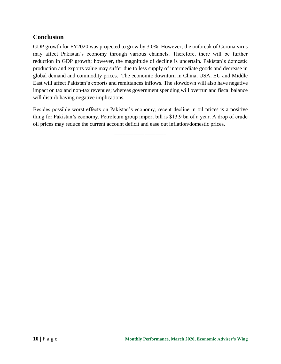## **Conclusion**

GDP growth for FY2020 was projected to grow by 3.0%. However, the outbreak of Corona virus may affect Pakistan's economy through various channels. Therefore, there will be further reduction in GDP growth; however, the magnitude of decline is uncertain. Pakistan's domestic production and exports value may suffer due to less supply of intermediate goods and decrease in global demand and commodity prices. The economic downturn in China, USA, EU and Middle East will affect Pakistan's exports and remittances inflows. The slowdown will also have negative impact on tax and non-tax revenues; whereas government spending will overrun and fiscal balance will disturb having negative implications.

Besides possible worst effects on Pakistan's economy, recent decline in oil prices is a positive thing for Pakistan's economy. Petroleum group import bill is \$13.9 bn of a year. A drop of crude oil prices may reduce the current account deficit and ease out inflation/domestic prices.

\_\_\_\_\_\_\_\_\_\_\_\_\_\_\_\_\_\_\_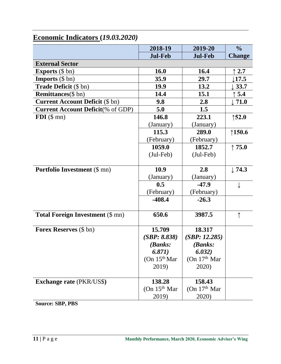|                                           | 2018-19        | 2019-20                   | $\frac{0}{0}$     |
|-------------------------------------------|----------------|---------------------------|-------------------|
|                                           | <b>Jul-Feb</b> | <b>Jul-Feb</b>            | <b>Change</b>     |
| <b>External Sector</b>                    |                |                           |                   |
| <b>Exports</b> $(\$ bn)$                  | 16.0           | 16.4                      | 2.7               |
| <b>Imports</b> $(\$ bn)$                  | 35.9           | 29.7                      | $\downarrow$ 17.5 |
| <b>Trade Deficit</b> (\$ bn)              | 19.9           | 13.2                      | 33.7              |
| <b>Remittances</b> (\$ bn)                | 14.4           | 15.1                      | 5.4               |
| <b>Current Account Deficit (\$ bn)</b>    | 9.8            | 2.8                       | $\downarrow$ 71.0 |
| <b>Current Account Deficit</b> (% of GDP) | 5.0            | 1.5                       |                   |
| $FDI$ (\$ mn)                             | 146.8          | 223.1                     | $\uparrow$ 52.0   |
|                                           | (January)      | (January)                 |                   |
|                                           | 115.3          | 289.0                     | $\uparrow$ 150.6  |
|                                           | (February)     | (February)                |                   |
|                                           | 1059.0         | 1852.7                    | $\uparrow$ 75.0   |
|                                           | $(Jul-Feb)$    | $(Jul-Feb)$               |                   |
|                                           |                |                           |                   |
| <b>Portfolio Investment</b> (\$ mn)       | 10.9           | 2.8                       | $\downarrow$ 74.3 |
|                                           | (January)      | (January)                 |                   |
|                                           | 0.5            | $-47.9$                   |                   |
|                                           | (February)     | (February)                |                   |
|                                           | $-408.4$       | $-26.3$                   |                   |
|                                           |                |                           |                   |
| <b>Total Foreign Investment (\$ mn)</b>   | 650.6          | 3987.5                    | ↑                 |
|                                           |                |                           |                   |
| <b>Forex Reserves</b> (\$ bn)             | 15.709         | 18.317                    |                   |
|                                           | (SBP: 8.838)   | (SBP: 12.285)             |                   |
|                                           | (Banks:        | (Banks:                   |                   |
|                                           | 6.871)         | 6.032)                    |                   |
|                                           | (On $15th$ Mar | (On 17 <sup>th</sup> Mar) |                   |
|                                           | 2019)          | 2020)                     |                   |
| <b>Exchange rate (PKR/US\$)</b>           | 138.28         | 158.43                    |                   |
|                                           | (On $15th$ Mar | (On 17 <sup>th</sup> Mar) |                   |
|                                           | 2019)          | 2020)                     |                   |

# **Economic Indicators (***19.03.2020)*

**Source: SBP, PBS**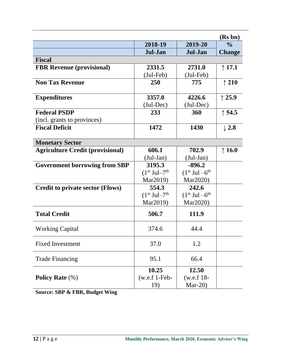|                                         |                                        |                               | (Rs bn)          |  |  |
|-----------------------------------------|----------------------------------------|-------------------------------|------------------|--|--|
|                                         | 2018-19                                | 2019-20                       | $\frac{0}{0}$    |  |  |
|                                         | Jul-Jan                                | Jul-Jan                       | <b>Change</b>    |  |  |
| <b>Fiscal</b>                           |                                        |                               |                  |  |  |
| <b>FBR Revenue (provisional)</b>        | 2331.5                                 | 2731.0                        | $\uparrow$ 17.1  |  |  |
|                                         | $(Jul-Feb)$                            | $(Jul-Feb)$                   |                  |  |  |
| <b>Non Tax Revenue</b>                  | <b>250</b>                             | 775                           | $\uparrow$ 210   |  |  |
|                                         |                                        |                               |                  |  |  |
| <b>Expenditures</b>                     | 3357.0                                 | 4226.6                        | $\uparrow$ 25.9  |  |  |
|                                         | $(Jul-Dec)$                            | $(Jul-Dec)$                   |                  |  |  |
| <b>Federal PSDP</b>                     | 233                                    | 360                           | $\uparrow$ 54.5  |  |  |
| (incl. grants to provinces)             |                                        |                               |                  |  |  |
| <b>Fiscal Deficit</b>                   | 1472                                   | 1430                          | $\downarrow$ 2.8 |  |  |
|                                         |                                        |                               |                  |  |  |
| <b>Monetary Sector</b>                  |                                        |                               |                  |  |  |
| <b>Agriculture Credit (provisional)</b> | 606.1                                  | 702.9                         | $\uparrow$ 16.0  |  |  |
|                                         | $(Jul-Jan)$                            | $(Jul-Jan)$                   |                  |  |  |
| <b>Government borrowing from SBP</b>    | 3195.3                                 | $-896.2$                      |                  |  |  |
|                                         | $(1st$ Jul–7 <sup>th</sup><br>Mar2019) | $(1st$ Jul $-6th$<br>Mar2020) |                  |  |  |
|                                         | 554.3                                  | 242.6                         |                  |  |  |
| <b>Credit to private sector (Flows)</b> | $(1st$ Jul–7 <sup>th</sup>             | $(1st$ Jul $-6th$             |                  |  |  |
|                                         | Mar2019)                               | Mar2020)                      |                  |  |  |
|                                         |                                        |                               |                  |  |  |
| <b>Total Credit</b>                     | 506.7                                  | 111.9                         |                  |  |  |
| <b>Working Capital</b>                  | 374.6                                  | 44.4                          |                  |  |  |
|                                         |                                        |                               |                  |  |  |
| <b>Fixed Investment</b>                 | 37.0                                   | 1.2                           |                  |  |  |
| <b>Trade Financing</b>                  | 95.1                                   | 66.4                          |                  |  |  |
|                                         | 10.25                                  | 12.50                         |                  |  |  |
| Policy Rate $(\%)$                      | $(w.e.f 1-Feb-$                        | $(w.e.f. 18-$                 |                  |  |  |
|                                         | 19)                                    | Mar-20 $)$                    |                  |  |  |

**Source: SBP & FBR, Budget Wing**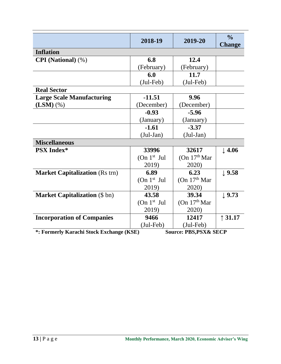|                                          | 2018-19       | 2019-20                           | $\frac{0}{0}$<br><b>Change</b> |
|------------------------------------------|---------------|-----------------------------------|--------------------------------|
| <b>Inflation</b>                         |               |                                   |                                |
| <b>CPI</b> (National) (%)                | 6.8           | 12.4                              |                                |
|                                          | (February)    | (February)                        |                                |
|                                          | 6.0           | 11.7                              |                                |
|                                          | $(Jul-Feb)$   | $(Jul-Feb)$                       |                                |
| <b>Real Sector</b>                       |               |                                   |                                |
| <b>Large Scale Manufacturing</b>         | $-11.51$      | 9.96                              |                                |
| $(LSM)$ $(\%)$                           | (December)    | (December)                        |                                |
|                                          | $-0.93$       | $-5.96$                           |                                |
|                                          | (January)     | (January)                         |                                |
|                                          | $-1.61$       | $-3.37$                           |                                |
|                                          | $(Jul-Jan)$   | $(Jul-Jan)$                       |                                |
| <b>Miscellaneous</b>                     |               |                                   |                                |
| <b>PSX Index*</b>                        | 33996         | 32617                             | $\downarrow$ 4.06              |
|                                          | (On $1st$ Jul | (On $17th$ Mar                    |                                |
|                                          | 2019)         | 2020)                             |                                |
| <b>Market Capitalization (Rs trn)</b>    | 6.89          | 6.23                              | $\downarrow$ 9.58              |
|                                          | (On $1st$ Jul | (On $17th$ Mar                    |                                |
|                                          | 2019)         | 2020)                             |                                |
| <b>Market Capitalization (\$ bn)</b>     | 43.58         | 39.34                             | $\downarrow$ 9.73              |
|                                          | (On $1st$ Jul | (On $17th$ Mar                    |                                |
|                                          | 2019)         | 2020)                             |                                |
| <b>Incorporation of Companies</b>        | 9466          | 12417                             | $\uparrow$ 31.17               |
|                                          | $(Jul-Feb)$   | $(Jul-Feb)$                       |                                |
| *: Formerly Karachi Stock Exchange (KSE) |               | <b>Source: PBS, PSX&amp; SECP</b> |                                |